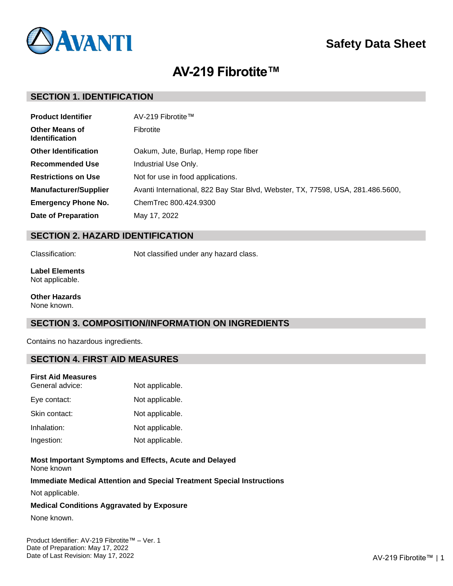

# **Safety Data Sheet**

# **AV-219 Fibrotite™**

## **SECTION 1. IDENTIFICATION**

| <b>Product Identifier</b>                      | AV-219 Fibrotite™                                                               |
|------------------------------------------------|---------------------------------------------------------------------------------|
| <b>Other Means of</b><br><b>Identification</b> | Fibrotite                                                                       |
| <b>Other Identification</b>                    | Oakum, Jute, Burlap, Hemp rope fiber                                            |
| <b>Recommended Use</b>                         | Industrial Use Only.                                                            |
| <b>Restrictions on Use</b>                     | Not for use in food applications.                                               |
| <b>Manufacturer/Supplier</b>                   | Avanti International, 822 Bay Star Blvd, Webster, TX, 77598, USA, 281.486.5600, |
| <b>Emergency Phone No.</b>                     | ChemTrec 800.424.9300                                                           |
| <b>Date of Preparation</b>                     | May 17, 2022                                                                    |

## **SECTION 2. HAZARD IDENTIFICATION**

Classification: Not classified under any hazard class.

#### **Label Elements** Not applicable.

**Other Hazards** None known.

## **SECTION 3. COMPOSITION/INFORMATION ON INGREDIENTS**

Contains no hazardous ingredients.

# **SECTION 4. FIRST AID MEASURES**

#### **First Aid Measures**

| General advice: | Not applicable. |
|-----------------|-----------------|
| Eye contact:    | Not applicable. |
| Skin contact:   | Not applicable. |
| Inhalation:     | Not applicable. |
| Ingestion:      | Not applicable. |

#### **Most Important Symptoms and Effects, Acute and Delayed** None known

#### **Immediate Medical Attention and Special Treatment Special Instructions**

Not applicable.

### **Medical Conditions Aggravated by Exposure**

None known.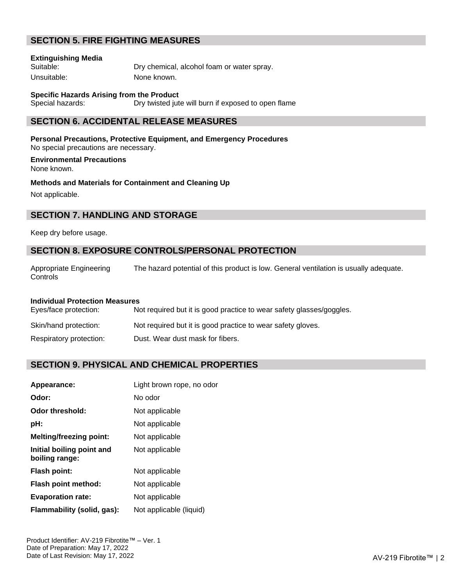# **SECTION 5. FIRE FIGHTING MEASURES**

#### **Extinguishing Media**

Suitable: Dry chemical, alcohol foam or water spray. Unsuitable: None known.

# **Specific Hazards Arising from the Product**

Special hazards: Dry twisted jute will burn if exposed to open flame

## **SECTION 6. ACCIDENTAL RELEASE MEASURES**

**Personal Precautions, Protective Equipment, and Emergency Procedures** No special precautions are necessary.

### **Environmental Precautions**

None known.

**Methods and Materials for Containment and Cleaning Up**

Not applicable.

## **SECTION 7. HANDLING AND STORAGE**

#### Keep dry before usage.

## **SECTION 8. EXPOSURE CONTROLS/PERSONAL PROTECTION**

Appropriate Engineering **Controls** The hazard potential of this product is low. General ventilation is usually adequate.

#### **Individual Protection Measures**

| Eyes/face protection:   | Not required but it is good practice to wear safety glasses/goggles. |
|-------------------------|----------------------------------------------------------------------|
| Skin/hand protection:   | Not required but it is good practice to wear safety gloves.          |
| Respiratory protection: | Dust. Wear dust mask for fibers.                                     |

## **SECTION 9. PHYSICAL AND CHEMICAL PROPERTIES**

| Appearance:                                 | Light brown rope, no odor |
|---------------------------------------------|---------------------------|
| Odor:                                       | No odor                   |
| Odor threshold:                             | Not applicable            |
| pH:                                         | Not applicable            |
| <b>Melting/freezing point:</b>              | Not applicable            |
| Initial boiling point and<br>boiling range: | Not applicable            |
| Flash point:                                | Not applicable            |
| Flash point method:                         | Not applicable            |
| <b>Evaporation rate:</b>                    | Not applicable            |
| Flammability (solid, gas):                  | Not applicable (liquid)   |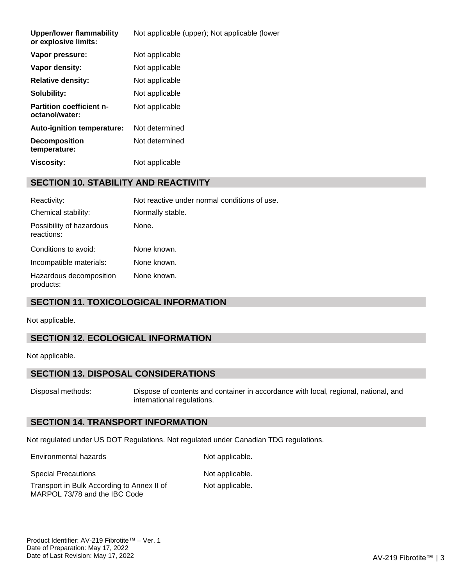| Vapor pressure:<br>Not applicable<br>Vapor density:<br>Not applicable |  |
|-----------------------------------------------------------------------|--|
|                                                                       |  |
|                                                                       |  |
| <b>Relative density:</b><br>Not applicable                            |  |
| Solubility:<br>Not applicable                                         |  |
| <b>Partition coefficient n-</b><br>Not applicable<br>octanol/water:   |  |
| Not determined<br>Auto-ignition temperature:                          |  |
| Not determined<br><b>Decomposition</b><br>temperature:                |  |
| <b>Viscosity:</b><br>Not applicable                                   |  |

# **SECTION 10. STABILITY AND REACTIVITY**

| Reactivity:                            | Not reactive under normal conditions of use. |
|----------------------------------------|----------------------------------------------|
| Chemical stability:                    | Normally stable.                             |
| Possibility of hazardous<br>reactions: | None.                                        |
| Conditions to avoid:                   | None known.                                  |
| Incompatible materials:                | None known.                                  |
| Hazardous decomposition<br>products:   | None known.                                  |

# **SECTION 11. TOXICOLOGICAL INFORMATION**

Not applicable.

# **SECTION 12. ECOLOGICAL INFORMATION**

Not applicable.

## **SECTION 13. DISPOSAL CONSIDERATIONS**

Disposal methods: Dispose of contents and container in accordance with local, regional, national, and international regulations.

## **SECTION 14. TRANSPORT INFORMATION**

Not regulated under US DOT Regulations. Not regulated under Canadian TDG regulations.

Environmental hazards Not applicable.

Special Precautions Not applicable. Transport in Bulk According to Annex II of MARPOL 73/78 and the IBC Code

Not applicable.